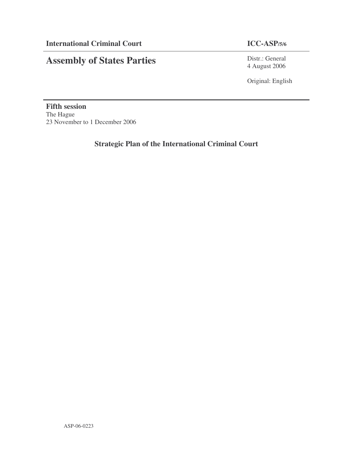# **Assembly of States Parties**

Distr.: General 4 August 2006

Original: English

**Fifth session** The Hague 23 November to 1 December 2006

**Strategic Plan of the International Criminal Court**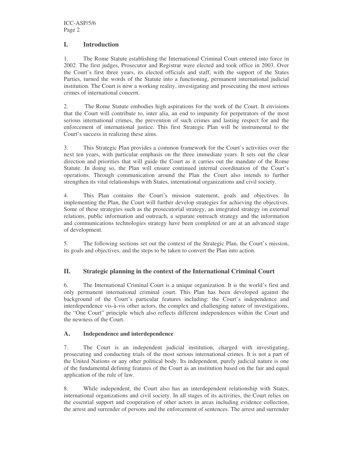#### **I. Introduction**

1. The Rome Statute establishing the International Criminal Court entered into force in 2002. The first judges, Prosecutor and Registrar were elected and took office in 2003. Over the Court's first three years, its elected officials and staff, with the support of the States Parties, turned the words of the Statute into a functioning, permanent international judicial institution. The Court is now a working reality, investigating and prosecuting the most serious crimes of international concern.

2. The Rome Statute embodies high aspirations for the work of the Court. It envisions that the Court will contribute to, inter alia, an end to impunity for perpetrators of the most serious international crimes, the prevention of such crimes and lasting respect for and the enforcement of international justice. This first Strategic Plan will be instrumental to the Court's success in realizing these aims.

3. This Strategic Plan provides a common framework for the Court's activities over the next ten years, with particular emphasis on the three immediate years. It sets out the clear direction and priorities that will guide the Court as it carries out the mandate of the Rome Statute. In doing so, the Plan will ensure continued internal coordination of the Court's operations. Through communication around the Plan the Court also intends to further strengthen its vital relationships with States, international organizations and civil society.

4. This Plan contains the Court's mission statement, goals and objectives. In implementing the Plan, the Court will further develop strategies for achieving the objectives. Some of these strategies such as the prosecutorial strategy, an integrated strategy on external relations, public information and outreach, a separate outreach strategy and the information and communications technologies strategy have been completed or are at an advanced stage of development.

5. The following sections set out the context of the Strategic Plan, the Court's mission, its goals and objectives, and the steps to be taken to convert the Plan into action.

### **II. Strategic planning in the context of the International Criminal Court**

6. The International Criminal Court is a unique organization. It is the world's first and only permanent international criminal court. This Plan has been developed against the background of the Court's particular features including: the Court's independence and interdependence vis-à-vis other actors, the complex and challenging nature of investigations, the "One Court" principle which also reflects different independences within the Court and the newness of the Court.

#### **A. Independence and interdependence**

7. The Court is an independent judicial institution, charged with investigating, prosecuting and conducting trials of the most serious international crimes. It is not a part of the United Nations or any other political body. Its independent, purely judicial nature is one of the fundamental defining features of the Court as an institution based on the fair and equal application of the rule of law.

8. While independent, the Court also has an interdependent relationship with States, international organizations and civil society. In all stages of its activities, the Court relies on the essential support and cooperation of other actors in areas including evidence collection, the arrest and surrender of persons and the enforcement of sentences. The arrest and surrender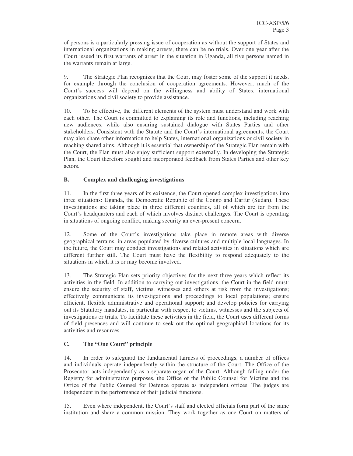of persons is a particularly pressing issue of cooperation as without the support of States and international organizations in making arrests, there can be no trials. Over one year after the Court issued its first warrants of arrest in the situation in Uganda, all five persons named in the warrants remain at large.

9. The Strategic Plan recognizes that the Court may foster some of the support it needs, for example through the conclusion of cooperation agreements. However, much of the Court's success will depend on the willingness and ability of States, international organizations and civil society to provide assistance.

10. To be effective, the different elements of the system must understand and work with each other. The Court is committed to explaining its role and functions, including reaching new audiences, while also ensuring sustained dialogue with States Parties and other stakeholders. Consistent with the Statute and the Court's international agreements, the Court may also share other information to help States, international organizations or civil society in reaching shared aims. Although it is essential that ownership of the Strategic Plan remain with the Court, the Plan must also enjoy sufficient support externally. In developing the Strategic Plan, the Court therefore sought and incorporated feedback from States Parties and other key actors.

#### **B. Complex and challenging investigations**

11. In the first three years of its existence, the Court opened complex investigations into three situations: Uganda, the Democratic Republic of the Congo and Darfur (Sudan). These investigations are taking place in three different countries, all of which are far from the Court's headquarters and each of which involves distinct challenges. The Court is operating in situations of ongoing conflict, making security an ever-present concern.

12. Some of the Court's investigations take place in remote areas with diverse geographical terrains, in areas populated by diverse cultures and multiple local languages. In the future, the Court may conduct investigations and related activities in situations which are different further still. The Court must have the flexibility to respond adequately to the situations in which it is or may become involved.

13. The Strategic Plan sets priority objectives for the next three years which reflect its activities in the field. In addition to carrying out investigations, the Court in the field must: ensure the security of staff, victims, witnesses and others at risk from the investigations; effectively communicate its investigations and proceedings to local populations; ensure efficient, flexible administrative and operational support; and develop policies for carrying out its Statutory mandates, in particular with respect to victims, witnesses and the subjects of investigations or trials. To facilitate these activities in the field, the Court uses different forms of field presences and will continue to seek out the optimal geographical locations for its activities and resources.

### **C. The "One Court" principle**

14. In order to safeguard the fundamental fairness of proceedings, a number of offices and individuals operate independently within the structure of the Court. The Office of the Prosecutor acts independently as a separate organ of the Court. Although falling under the Registry for administrative purposes, the Office of the Public Counsel for Victims and the Office of the Public Counsel for Defence operate as independent offices. The judges are independent in the performance of their judicial functions.

15. Even where independent, the Court's staff and elected officials form part of the same institution and share a common mission. They work together as one Court on matters of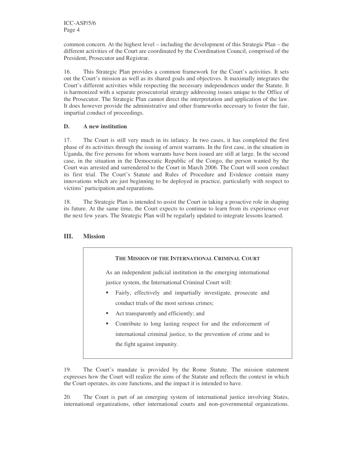common concern. At the highest level – including the development of this Strategic Plan – the different activities of the Court are coordinated by the Coordination Council, comprised of the President, Prosecutor and Registrar.

16. This Strategic Plan provides a common framework for the Court's activities. It sets out the Court's mission as well as its shared goals and objectives. It maximally integrates the Court's different activities while respecting the necessary independences under the Statute. It is harmonized with a separate prosecutorial strategy addressing issues unique to the Office of the Prosecutor. The Strategic Plan cannot direct the interpretation and application of the law. It does however provide the administrative and other frameworks necessary to foster the fair, impartial conduct of proceedings.

#### **D. A new institution**

17. The Court is still very much in its infancy. In two cases, it has completed the first phase of its activities through the issuing of arrest warrants. In the first case, in the situation in Uganda, the five persons for whom warrants have been issued are still at large. In the second case, in the situation in the Democratic Republic of the Congo, the person wanted by the Court was arrested and surrendered to the Court in March 2006. The Court will soon conduct its first trial. The Court's Statute and Rules of Procedure and Evidence contain many innovations which are just beginning to be deployed in practice, particularly with respect to victims' participation and reparations.

18. The Strategic Plan is intended to assist the Court in taking a proactive role in shaping its future. At the same time, the Court expects to continue to learn from its experience over the next few years. The Strategic Plan will be regularly updated to integrate lessons learned.

#### **III. Mission**



As an independent judicial institution in the emerging international justice system, the International Criminal Court will:

- Fairly, effectively and impartially investigate, prosecute and conduct trials of the most serious crimes;
- Act transparently and efficiently; and
- Contribute to long lasting respect for and the enforcement of international criminal justice, to the prevention of crime and to the fight against impunity.

19. The Court's mandate is provided by the Rome Statute. The mission statement expresses how the Court will realize the aims of the Statute and reflects the context in which the Court operates, its core functions, and the impact it is intended to have.

20. The Court is part of an emerging system of international justice involving States, international organizations, other international courts and non-governmental organizations.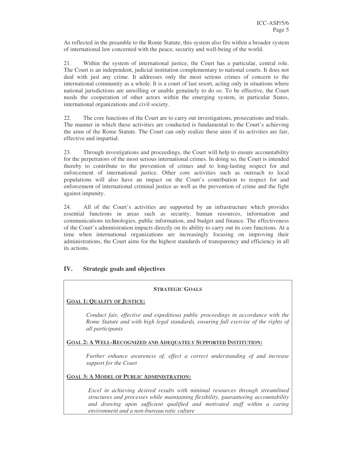As reflected in the preamble to the Rome Statute, this system also fits within a broader system of international law concerned with the peace, security and well-being of the world.

21. Within the system of international justice, the Court has a particular, central role. The Court is an independent, judicial institution complementary to national courts. It does not deal with just any crime. It addresses only the most serious crimes of concern to the international community as a whole. It is a court of last resort, acting only in situations where national jurisdictions are unwilling or unable genuinely to do so. To be effective, the Court needs the cooperation of other actors within the emerging system, in particular States, international organizations and civil society.

22. The core functions of the Court are to carry out investigations, prosecutions and trials. The manner in which these activities are conducted is fundamental to the Court's achieving the aims of the Rome Statute. The Court can only realize these aims if its activities are fair, effective and impartial.

23. Through investigations and proceedings, the Court will help to ensure accountability for the perpetrators of the most serious international crimes. In doing so, the Court is intended thereby to contribute to the prevention of crimes and to long-lasting respect for and enforcement of international justice. Other core activities such as outreach to local populations will also have an impact on the Court's contribution to respect for and enforcement of international criminal justice as well as the prevention of crime and the fight against impunity.

24. All of the Court's activities are supported by an infrastructure which provides essential functions in areas such as security, human resources, information and communications technologies, public information, and budget and finance. The effectiveness of the Court's administration impacts directly on its ability to carry out its core functions. At a time when international organizations are increasingly focusing on improving their administrations, the Court aims for the highest standards of transparency and efficiency in all its actions.

### **IV. Strategic goals and objectives**

#### **STRATEGIC GOALS**

#### **GOAL 1: QUALITY OF JUSTICE:**

*Conduct fair, effective and expeditious public proceedings in accordance with the Rome Statute and with high legal standards, ensuring full exercise of the rights of all participants*

#### **GOAL 2: A WELL-RECOGNIZED AND ADEQUATELY SUPPORTED INSTITUTION:**

*Further enhance awareness of, effect a correct understanding of and increase support for the Court*

#### **GOAL 3: A MODEL OF PUBLIC ADMINISTRATION:**

*Excel in achieving desired results with minimal resources through streamlined structures and processes while maintaining flexibility, guaranteeing accountability and drawing upon sufficient qualified and motivated staff within a caring environment and a non-bureaucratic culture*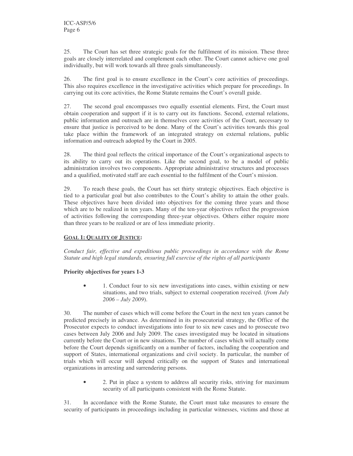25. The Court has set three strategic goals for the fulfilment of its mission. These three goals are closely interrelated and complement each other. The Court cannot achieve one goal individually, but will work towards all three goals simultaneously.

26. The first goal is to ensure excellence in the Court's core activities of proceedings. This also requires excellence in the investigative activities which prepare for proceedings. In carrying out its core activities, the Rome Statute remains the Court's overall guide.

27. The second goal encompasses two equally essential elements. First, the Court must obtain cooperation and support if it is to carry out its functions. Second, external relations, public information and outreach are in themselves core activities of the Court, necessary to ensure that justice is perceived to be done. Many of the Court's activities towards this goal take place within the framework of an integrated strategy on external relations, public information and outreach adopted by the Court in 2005.

28. The third goal reflects the critical importance of the Court's organizational aspects to its ability to carry out its operations. Like the second goal, to be a model of public administration involves two components. Appropriate administrative structures and processes and a qualified, motivated staff are each essential to the fulfilment of the Court's mission.

29. To reach these goals, the Court has set thirty strategic objectives. Each objective is tied to a particular goal but also contributes to the Court's ability to attain the other goals. These objectives have been divided into objectives for the coming three years and those which are to be realized in ten years. Many of the ten-year objectives reflect the progression of activities following the corresponding three-year objectives. Others either require more than three years to be realized or are of less immediate priority.

#### **GOAL 1: QUALITY OF JUSTICE:**

*Conduct fair, effective and expeditious public proceedings in accordance with the Rome Statute and high legal standards, ensuring full exercise of the rights of all participants*

#### **Priority objectives for years 1-3**

• 1. Conduct four to six new investigations into cases, within existing or new situations, and two trials, subject to external cooperation received. (*from July 2006 – July 2009*).

30. The number of cases which will come before the Court in the next ten years cannot be predicted precisely in advance. As determined in its prosecutorial strategy, the Office of the Prosecutor expects to conduct investigations into four to six new cases and to prosecute two cases between July 2006 and July 2009. The cases investigated may be located in situations currently before the Court or in new situations. The number of cases which will actually come before the Court depends significantly on a number of factors, including the cooperation and support of States, international organizations and civil society. In particular, the number of trials which will occur will depend critically on the support of States and international organizations in arresting and surrendering persons.

• 2. Put in place a system to address all security risks, striving for maximum security of all participants consistent with the Rome Statute.

31. In accordance with the Rome Statute, the Court must take measures to ensure the security of participants in proceedings including in particular witnesses, victims and those at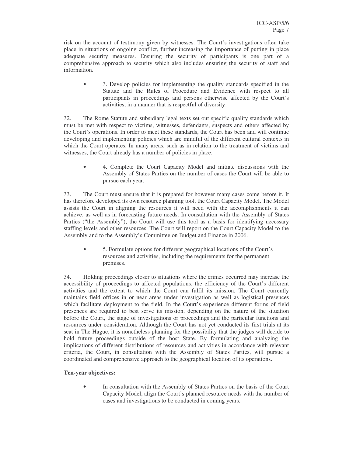risk on the account of testimony given by witnesses. The Court's investigations often take place in situations of ongoing conflict, further increasing the importance of putting in place adequate security measures. Ensuring the security of participants is one part of a comprehensive approach to security which also includes ensuring the security of staff and information.

• 3. Develop policies for implementing the quality standards specified in the Statute and the Rules of Procedure and Evidence with respect to all participants in proceedings and persons otherwise affected by the Court's activities, in a manner that is respectful of diversity.

32. The Rome Statute and subsidiary legal texts set out specific quality standards which must be met with respect to victims, witnesses, defendants, suspects and others affected by the Court's operations. In order to meet these standards, the Court has been and will continue developing and implementing policies which are mindful of the different cultural contexts in which the Court operates. In many areas, such as in relation to the treatment of victims and witnesses, the Court already has a number of policies in place.

• 4. Complete the Court Capacity Model and initiate discussions with the Assembly of States Parties on the number of cases the Court will be able to pursue each year.

33. The Court must ensure that it is prepared for however many cases come before it. It has therefore developed its own resource planning tool, the Court Capacity Model. The Model assists the Court in aligning the resources it will need with the accomplishments it can achieve, as well as in forecasting future needs. In consultation with the Assembly of States Parties ("the Assembly"), the Court will use this tool as a basis for identifying necessary staffing levels and other resources. The Court will report on the Court Capacity Model to the Assembly and to the Assembly's Committee on Budget and Finance in 2006.

• 5. Formulate options for different geographical locations of the Court's resources and activities, including the requirements for the permanent premises.

34. Holding proceedings closer to situations where the crimes occurred may increase the accessibility of proceedings to affected populations, the efficiency of the Court's different activities and the extent to which the Court can fulfil its mission. The Court currently maintains field offices in or near areas under investigation as well as logistical presences which facilitate deployment to the field. In the Court's experience different forms of field presences are required to best serve its mission, depending on the nature of the situation before the Court, the stage of investigations or proceedings and the particular functions and resources under consideration. Although the Court has not yet conducted its first trials at its seat in The Hague, it is nonetheless planning for the possibility that the judges will decide to hold future proceedings outside of the host State. By formulating and analyzing the implications of different distributions of resources and activities in accordance with relevant criteria, the Court, in consultation with the Assembly of States Parties, will pursue a coordinated and comprehensive approach to the geographical location of its operations.

#### **Ten-year objectives:**

• In consultation with the Assembly of States Parties on the basis of the Court Capacity Model, align the Court's planned resource needs with the number of cases and investigations to be conducted in coming years.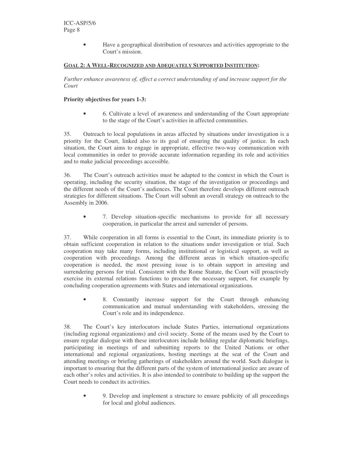• Have a geographical distribution of resources and activities appropriate to the Court's mission.

#### **GOAL 2: A WELL-RECOGNIZED AND ADEQUATELY SUPPORTED INSTITUTION:**

*Further enhance awareness of, effect a correct understanding of and increase support for the Court*

#### **Priority objectives for years 1-3:**

• 6. Cultivate a level of awareness and understanding of the Court appropriate to the stage of the Court's activities in affected communities.

35. Outreach to local populations in areas affected by situations under investigation is a priority for the Court, linked also to its goal of ensuring the quality of justice. In each situation, the Court aims to engage in appropriate, effective two-way communication with local communities in order to provide accurate information regarding its role and activities and to make judicial proceedings accessible.

36. The Court's outreach activities must be adapted to the context in which the Court is operating, including the security situation, the stage of the investigation or proceedings and the different needs of the Court's audiences. The Court therefore develops different outreach strategies for different situations. The Court will submit an overall strategy on outreach to the Assembly in 2006.

• 7. Develop situation-specific mechanisms to provide for all necessary cooperation, in particular the arrest and surrender of persons.

37. While cooperation in all forms is essential to the Court, its immediate priority is to obtain sufficient cooperation in relation to the situations under investigation or trial. Such cooperation may take many forms, including institutional or logistical support, as well as cooperation with proceedings. Among the different areas in which situation-specific cooperation is needed, the most pressing issue is to obtain support in arresting and surrendering persons for trial. Consistent with the Rome Statute, the Court will proactively exercise its external relations functions to procure the necessary support, for example by concluding cooperation agreements with States and international organizations.

8. Constantly increase support for the Court through enhancing communication and mutual understanding with stakeholders, stressing the Court's role and its independence.

38. The Court's key interlocutors include States Parties, international organizations (including regional organizations) and civil society. Some of the means used by the Court to ensure regular dialogue with these interlocutors include holding regular diplomatic briefings, participating in meetings of and submitting reports to the United Nations or other international and regional organizations, hosting meetings at the seat of the Court and attending meetings or briefing gatherings of stakeholders around the world. Such dialogue is important to ensuring that the different parts of the system of international justice are aware of each other's roles and activities. It is also intended to contribute to building up the support the Court needs to conduct its activities.

• 9. Develop and implement a structure to ensure publicity of all proceedings for local and global audiences.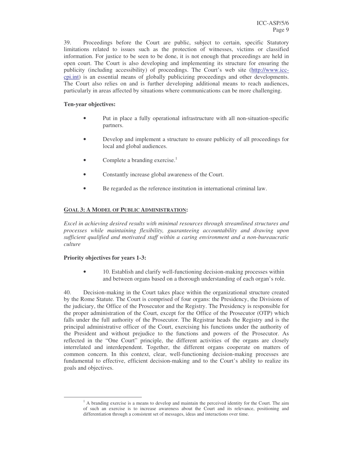39. Proceedings before the Court are public, subject to certain, specific Statutory limitations related to issues such as the protection of witnesses, victims or classified information. For justice to be seen to be done, it is not enough that proceedings are held in open court. The Court is also developing and implementing its structure for ensuring the publicity (including accessibility) of proceedings. The Court's web site (http://www.icccpi.int) is an essential means of globally publicizing proceedings and other developments. The Court also relies on and is further developing additional means to reach audiences, particularly in areas affected by situations where communications can be more challenging.

#### **Ten-year objectives:**

- Put in place a fully operational infrastructure with all non-situation-specific partners.
- Develop and implement a structure to ensure publicity of all proceedings for local and global audiences.
- Complete a branding exercise.<sup>1</sup>
- Constantly increase global awareness of the Court.
- Be regarded as the reference institution in international criminal law.

#### **GOAL 3: A MODEL OF PUBLIC ADMINISTRATION:**

*Excel in achieving desired results with minimal resources through streamlined structures and processes while maintaining flexibility, guaranteeing accountability and drawing upon sufficient qualified and motivated staff within a caring environment and a non-bureaucratic culture*

#### **Priority objectives for years 1-3:**

• 10. Establish and clarify well-functioning decision-making processes within and between organs based on a thorough understanding of each organ's role.

40. Decision-making in the Court takes place within the organizational structure created by the Rome Statute. The Court is comprised of four organs: the Presidency, the Divisions of the judiciary, the Office of the Prosecutor and the Registry. The Presidency is responsible for the proper administration of the Court, except for the Office of the Prosecutor (OTP) which falls under the full authority of the Prosecutor. The Registrar heads the Registry and is the principal administrative officer of the Court, exercising his functions under the authority of the President and without prejudice to the functions and powers of the Prosecutor. As reflected in the "One Court" principle, the different activities of the organs are closely interrelated and interdependent. Together, the different organs cooperate on matters of common concern. In this context, clear, well-functioning decision-making processes are fundamental to effective, efficient decision-making and to the Court's ability to realize its goals and objectives.

 $<sup>1</sup>$  A branding exercise is a means to develop and maintain the perceived identity for the Court. The aim</sup> of such an exercise is to increase awareness about the Court and its relevance, positioning and differentiation through a consistent set of messages, ideas and interactions over time.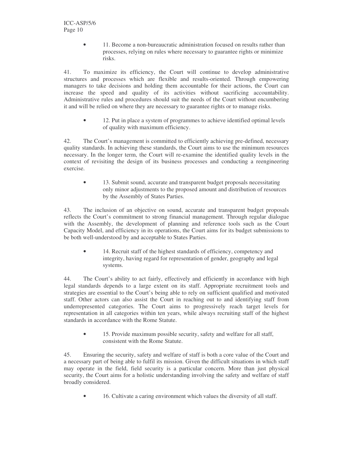• 11. Become a non-bureaucratic administration focused on results rather than processes, relying on rules where necessary to guarantee rights or minimize risks.

41. To maximize its efficiency, the Court will continue to develop administrative structures and processes which are flexible and results-oriented. Through empowering managers to take decisions and holding them accountable for their actions, the Court can increase the speed and quality of its activities without sacrificing accountability. Administrative rules and procedures should suit the needs of the Court without encumbering it and will be relied on where they are necessary to guarantee rights or to manage risks.

• 12. Put in place a system of programmes to achieve identified optimal levels of quality with maximum efficiency.

42. The Court's management is committed to efficiently achieving pre-defined, necessary quality standards. In achieving these standards, the Court aims to use the minimum resources necessary. In the longer term, the Court will re-examine the identified quality levels in the context of revisiting the design of its business processes and conducting a reengineering exercise.

13. Submit sound, accurate and transparent budget proposals necessitating only minor adjustments to the proposed amount and distribution of resources by the Assembly of States Parties.

43. The inclusion of an objective on sound, accurate and transparent budget proposals reflects the Court's commitment to strong financial management. Through regular dialogue with the Assembly, the development of planning and reference tools such as the Court Capacity Model, and efficiency in its operations, the Court aims for its budget submissions to be both well-understood by and acceptable to States Parties.

14. Recruit staff of the highest standards of efficiency, competency and integrity, having regard for representation of gender, geography and legal systems.

44. The Court's ability to act fairly, effectively and efficiently in accordance with high legal standards depends to a large extent on its staff. Appropriate recruitment tools and strategies are essential to the Court's being able to rely on sufficient qualified and motivated staff. Other actors can also assist the Court in reaching out to and identifying staff from underrepresented categories. The Court aims to progressively reach target levels for representation in all categories within ten years, while always recruiting staff of the highest standards in accordance with the Rome Statute.

• 15. Provide maximum possible security, safety and welfare for all staff, consistent with the Rome Statute.

45. Ensuring the security, safety and welfare of staff is both a core value of the Court and a necessary part of being able to fulfil its mission. Given the difficult situations in which staff may operate in the field, field security is a particular concern. More than just physical security, the Court aims for a holistic understanding involving the safety and welfare of staff broadly considered.

16. Cultivate a caring environment which values the diversity of all staff.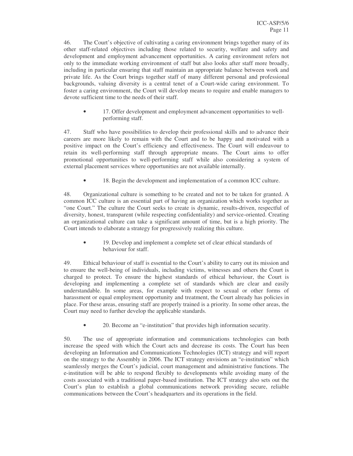46. The Court's objective of cultivating a caring environment brings together many of its other staff-related objectives including those related to security, welfare and safety and development and employment advancement opportunities. A caring environment refers not only to the immediate working environment of staff but also looks after staff more broadly, including in particular ensuring that staff maintain an appropriate balance between work and private life. As the Court brings together staff of many different personal and professional backgrounds, valuing diversity is a central tenet of a Court-wide caring environment. To foster a caring environment, the Court will develop means to require and enable managers to devote sufficient time to the needs of their staff.

• 17. Offer development and employment advancement opportunities to wellperforming staff.

47. Staff who have possibilities to develop their professional skills and to advance their careers are more likely to remain with the Court and to be happy and motivated with a positive impact on the Court's efficiency and effectiveness. The Court will endeavour to retain its well-performing staff through appropriate means. The Court aims to offer promotional opportunities to well-performing staff while also considering a system of external placement services where opportunities are not available internally.

18. Begin the development and implementation of a common ICC culture.

48. Organizational culture is something to be created and not to be taken for granted. A common ICC culture is an essential part of having an organization which works together as "one Court." The culture the Court seeks to create is dynamic, results-driven, respectful of diversity, honest, transparent (while respecting confidentiality) and service-oriented. Creating an organizational culture can take a significant amount of time, but is a high priority. The Court intends to elaborate a strategy for progressively realizing this culture.

• 19. Develop and implement a complete set of clear ethical standards of behaviour for staff.

49. Ethical behaviour of staff is essential to the Court's ability to carry out its mission and to ensure the well-being of individuals, including victims, witnesses and others the Court is charged to protect. To ensure the highest standards of ethical behaviour, the Court is developing and implementing a complete set of standards which are clear and easily understandable. In some areas, for example with respect to sexual or other forms of harassment or equal employment opportunity and treatment, the Court already has policies in place. For these areas, ensuring staff are properly trained is a priority. In some other areas, the Court may need to further develop the applicable standards.

• 20. Become an "e-institution" that provides high information security.

50. The use of appropriate information and communications technologies can both increase the speed with which the Court acts and decrease its costs. The Court has been developing an Information and Communications Technologies (ICT) strategy and will report on the strategy to the Assembly in 2006. The ICT strategy envisions an "e-institution" which seamlessly merges the Court's judicial, court management and administrative functions. The e-institution will be able to respond flexibly to developments while avoiding many of the costs associated with a traditional paper-based institution. The ICT strategy also sets out the Court's plan to establish a global communications network providing secure, reliable communications between the Court's headquarters and its operations in the field.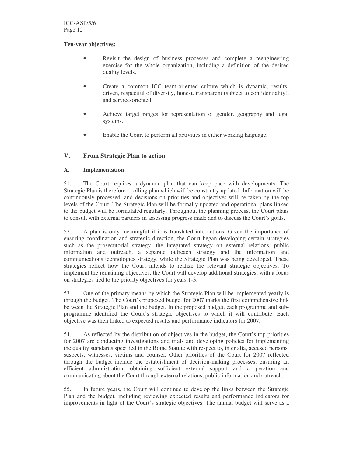#### **Ten-year objectives:**

- Revisit the design of business processes and complete a reengineering exercise for the whole organization, including a definition of the desired quality levels.
- Create a common ICC team-oriented culture which is dynamic, resultsdriven, respectful of diversity, honest, transparent (subject to confidentiality), and service-oriented.
- Achieve target ranges for representation of gender, geography and legal systems.
- Enable the Court to perform all activities in either working language.

#### **V. From Strategic Plan to action**

#### **A. Implementation**

51. The Court requires a dynamic plan that can keep pace with developments. The Strategic Plan is therefore a rolling plan which will be constantly updated. Information will be continuously processed, and decisions on priorities and objectives will be taken by the top levels of the Court. The Strategic Plan will be formally updated and operational plans linked to the budget will be formulated regularly. Throughout the planning process, the Court plans to consult with external partners in assessing progress made and to discuss the Court's goals.

52. A plan is only meaningful if it is translated into actions. Given the importance of ensuring coordination and strategic direction, the Court began developing certain strategies such as the prosecutorial strategy, the integrated strategy on external relations, public information and outreach, a separate outreach strategy and the information and communications technologies strategy, while the Strategic Plan was being developed. These strategies reflect how the Court intends to realize the relevant strategic objectives. To implement the remaining objectives, the Court will develop additional strategies, with a focus on strategies tied to the priority objectives for years 1-3.

53. One of the primary means by which the Strategic Plan will be implemented yearly is through the budget. The Court's proposed budget for 2007 marks the first comprehensive link between the Strategic Plan and the budget. In the proposed budget, each programme and subprogramme identified the Court's strategic objectives to which it will contribute. Each objective was then linked to expected results and performance indicators for 2007.

54. As reflected by the distribution of objectives in the budget, the Court's top priorities for 2007 are conducting investigations and trials and developing policies for implementing the quality standards specified in the Rome Statute with respect to, inter alia, accused persons, suspects, witnesses, victims and counsel. Other priorities of the Court for 2007 reflected through the budget include the establishment of decision-making processes, ensuring an efficient administration, obtaining sufficient external support and cooperation and communicating about the Court through external relations, public information and outreach.

55. In future years, the Court will continue to develop the links between the Strategic Plan and the budget, including reviewing expected results and performance indicators for improvements in light of the Court's strategic objectives. The annual budget will serve as a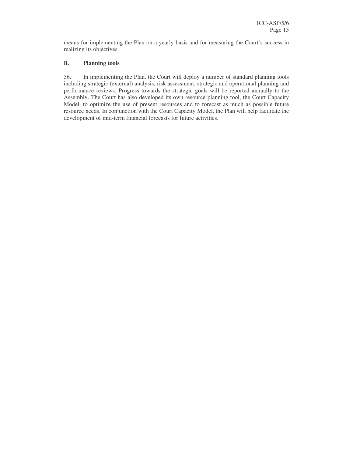means for implementing the Plan on a yearly basis and for measuring the Court's success in realizing its objectives.

#### **B. Planning tools**

56. In implementing the Plan, the Court will deploy a number of standard planning tools including strategic (external) analysis, risk assessment, strategic and operational planning and performance reviews. Progress towards the strategic goals will be reported annually to the Assembly. The Court has also developed its own resource planning tool, the Court Capacity Model, to optimize the use of present resources and to forecast as much as possible future resource needs. In conjunction with the Court Capacity Model, the Plan will help facilitate the development of mid-term financial forecasts for future activities.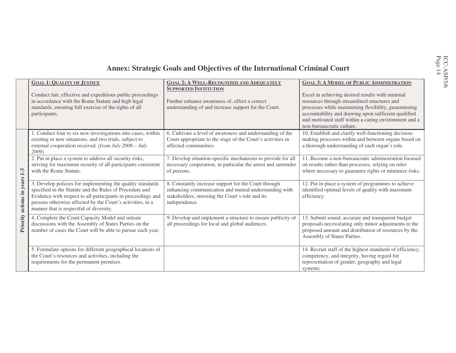## **Annex: Strategic Goals and Objectives of the International Criminal Court**

|                      | <b>GOAL 1: QUALITY OF JUSTICE</b>                                                                                                                                                                                                                                                              | <b>GOAL 2: A WELL-RECOGNIZED AND ADEQUATELY</b><br><b>SUPPORTED INSTITUTION</b>                                                                                                    | <b>GOAL 3: A MODEL OF PUBLIC ADMINISTRATION</b>                                                                                                                                                                                                                                                        |
|----------------------|------------------------------------------------------------------------------------------------------------------------------------------------------------------------------------------------------------------------------------------------------------------------------------------------|------------------------------------------------------------------------------------------------------------------------------------------------------------------------------------|--------------------------------------------------------------------------------------------------------------------------------------------------------------------------------------------------------------------------------------------------------------------------------------------------------|
|                      | Conduct fair, effective and expeditious public proceedings<br>in accordance with the Rome Statute and high legal<br>standards, ensuring full exercise of the rights of all<br>participants.                                                                                                    | Further enhance awareness of, effect a correct<br>understanding of and increase support for the Court.                                                                             | Excel in achieving desired results with minimal<br>resources through streamlined structures and<br>processes while maintaining flexibility, guaranteeing<br>accountability and drawing upon sufficient qualified<br>and motivated staff within a caring environment and a<br>non-bureaucratic culture. |
| actions in years 1-3 | 1. Conduct four to six new investigations into cases, within<br>existing or new situations, and two trials, subject to<br>external cooperation received. (from July 2006 - July<br>2009                                                                                                        | 6. Cultivate a level of awareness and understanding of the<br>Court appropriate to the stage of the Court's activities in<br>affected communities.                                 | 10. Establish and clarify well-functioning decision-<br>making processes within and between organs based on<br>a thorough understanding of each organ's role.                                                                                                                                          |
|                      | 2. Put in place a system to address all security risks,<br>striving for maximum security of all participants consistent<br>with the Rome Statute.                                                                                                                                              | 7. Develop situation-specific mechanisms to provide for all<br>necessary cooperation, in particular the arrest and surrender<br>of persons.                                        | 11. Become a non-bureaucratic administration focused<br>on results rather than processes, relying on rules<br>where necessary to guarantee rights or minimize risks.                                                                                                                                   |
|                      | 3. Develop policies for implementing the quality standards<br>specified in the Statute and the Rules of Procedure and<br>Evidence with respect to all participants in proceedings and<br>persons otherwise affected by the Court's activities, in a<br>manner that is respectful of diversity. | 8. Constantly increase support for the Court through<br>enhancing communication and mutual understanding with<br>stakeholders, stressing the Court's role and its<br>independence. | 12. Put in place a system of programmes to achieve<br>identified optimal levels of quality with maximum<br>efficiency.                                                                                                                                                                                 |
| Priority             | 4. Complete the Court Capacity Model and initiate<br>discussions with the Assembly of States Parties on the<br>number of cases the Court will be able to pursue each year.                                                                                                                     | 9. Develop and implement a structure to ensure publicity of<br>all proceedings for local and global audiences.                                                                     | 13. Submit sound, accurate and transparent budget<br>proposals necessitating only minor adjustments to the<br>proposed amount and distribution of resources by the<br>Assembly of States Parties.                                                                                                      |
|                      | 5. Formulate options for different geographical locations of<br>the Court's resources and activities, including the<br>requirements for the permanent premises.                                                                                                                                |                                                                                                                                                                                    | 14. Recruit staff of the highest standards of efficiency,<br>competency, and integrity, having regard for<br>representation of gender, geography and legal<br>systems.                                                                                                                                 |